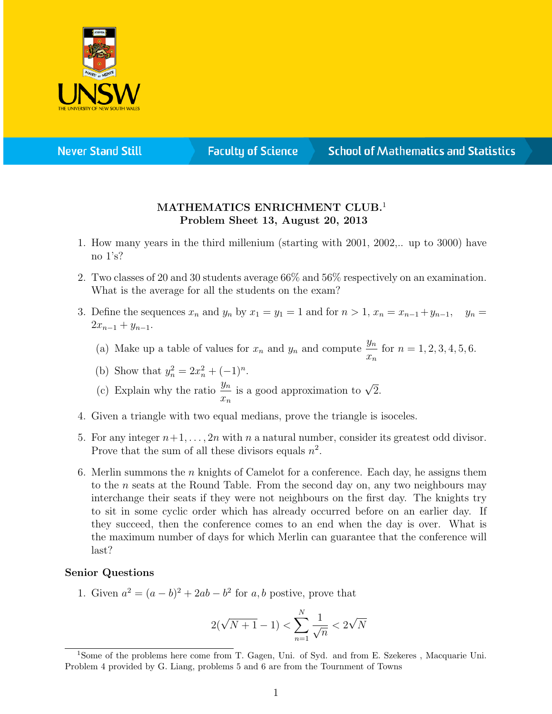

**Never Stand Still** 

**Faculty of Science** 

## **School of Mathematics and Statistics**

## MATHEMATICS ENRICHMENT CLUB.<sup>1</sup> Problem Sheet 13, August 20, 2013

- 1. How many years in the third millenium (starting with 2001, 2002,.. up to 3000) have no 1's?
- 2. Two classes of 20 and 30 students average 66% and 56% respectively on an examination. What is the average for all the students on the exam?
- 3. Define the sequences  $x_n$  and  $y_n$  by  $x_1 = y_1 = 1$  and for  $n > 1$ ,  $x_n = x_{n-1} + y_{n-1}$ ,  $y_n = y_n$  $2x_{n-1} + y_{n-1}$ .
	- (a) Make up a table of values for  $x_n$  and  $y_n$  and compute  $\frac{y_n}{y_n}$  $\bar{x}_n$ for  $n = 1, 2, 3, 4, 5, 6$ .

(b) Show that 
$$
y_n^2 = 2x_n^2 + (-1)^n
$$
.

- (c) Explain why the ratio  $\frac{y_n}{x_n}$  $\bar{x}_n$ is a good approximation to  $\sqrt{2}$ .
- 4. Given a triangle with two equal medians, prove the triangle is isoceles.
- 5. For any integer  $n+1, \ldots, 2n$  with n a natural number, consider its greatest odd divisor. Prove that the sum of all these divisors equals  $n^2$ .
- 6. Merlin summons the *n* knights of Camelot for a conference. Each day, he assigns them to the n seats at the Round Table. From the second day on, any two neighbours may interchange their seats if they were not neighbours on the first day. The knights try to sit in some cyclic order which has already occurred before on an earlier day. If they succeed, then the conference comes to an end when the day is over. What is the maximum number of days for which Merlin can guarantee that the conference will last?

## Senior Questions

1. Given  $a^2 = (a - b)^2 + 2ab - b^2$  for a, b postive, prove that

$$
2(\sqrt{N+1} - 1) < \sum_{n=1}^{N} \frac{1}{\sqrt{n}} < 2\sqrt{N}
$$

<sup>1</sup>Some of the problems here come from T. Gagen, Uni. of Syd. and from E. Szekeres , Macquarie Uni. Problem 4 provided by G. Liang, problems 5 and 6 are from the Tournment of Towns